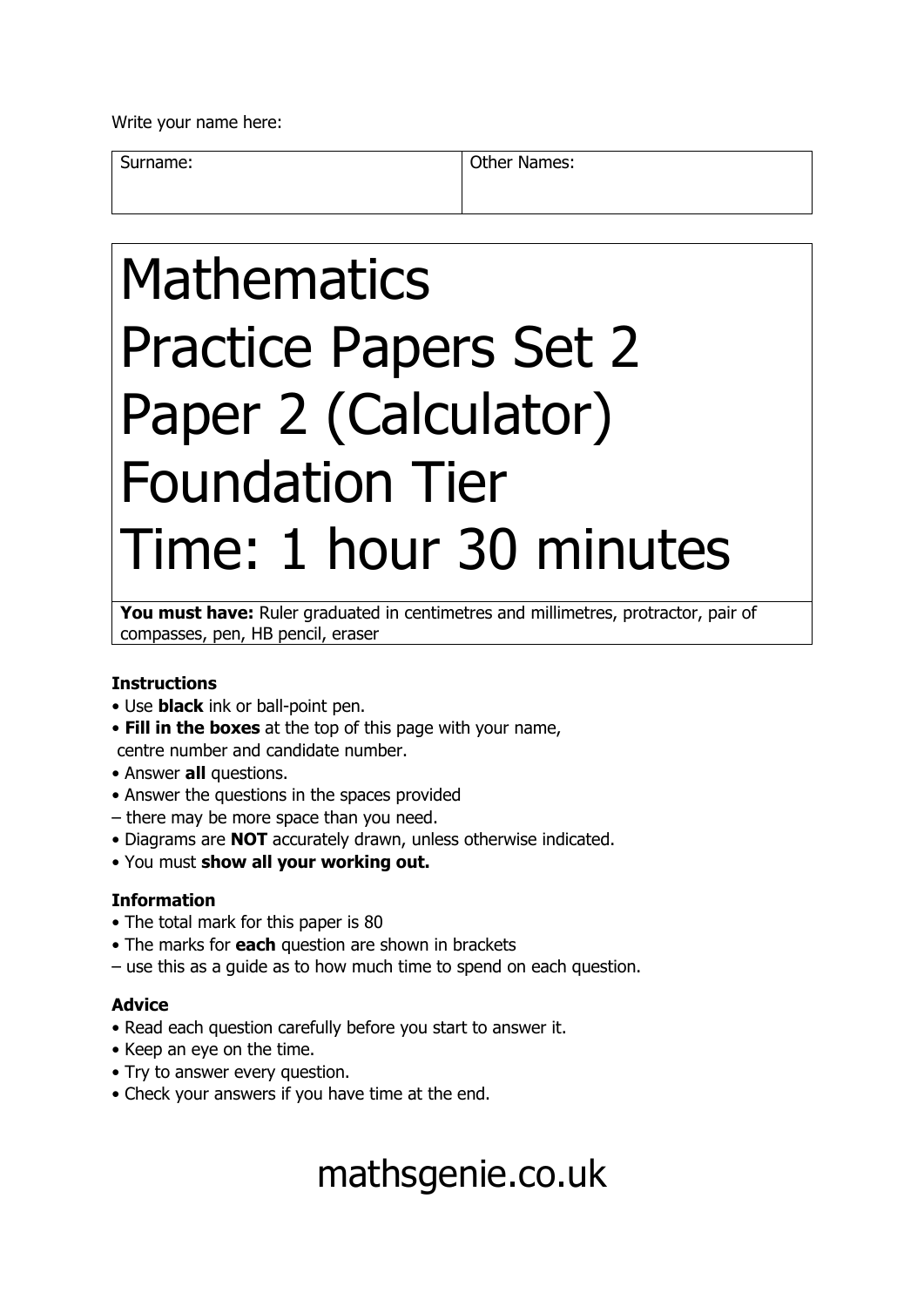Write your name here:

Surname: **Other Names: Other Names:** 

# Mathematics Practice Papers Set 2 Paper 2 (Calculator) Foundation Tier Time: 1 hour 30 minutes

You must have: Ruler graduated in centimetres and millimetres, protractor, pair of compasses, pen, HB pencil, eraser

### **Instructions**

- Use **black** ink or ball-point pen.
- **Fill in the boxes** at the top of this page with your name, centre number and candidate number.
- Answer **all** questions.
- Answer the questions in the spaces provided
- there may be more space than you need.
- Diagrams are **NOT** accurately drawn, unless otherwise indicated.
- You must **show all your working out.**

### **Information**

- The total mark for this paper is 80
- The marks for **each** question are shown in brackets
- use this as a guide as to how much time to spend on each question.

### **Advice**

- Read each question carefully before you start to answer it.
- Keep an eye on the time.
- Try to answer every question.
- Check your answers if you have time at the end.

## mathsgenie.co.uk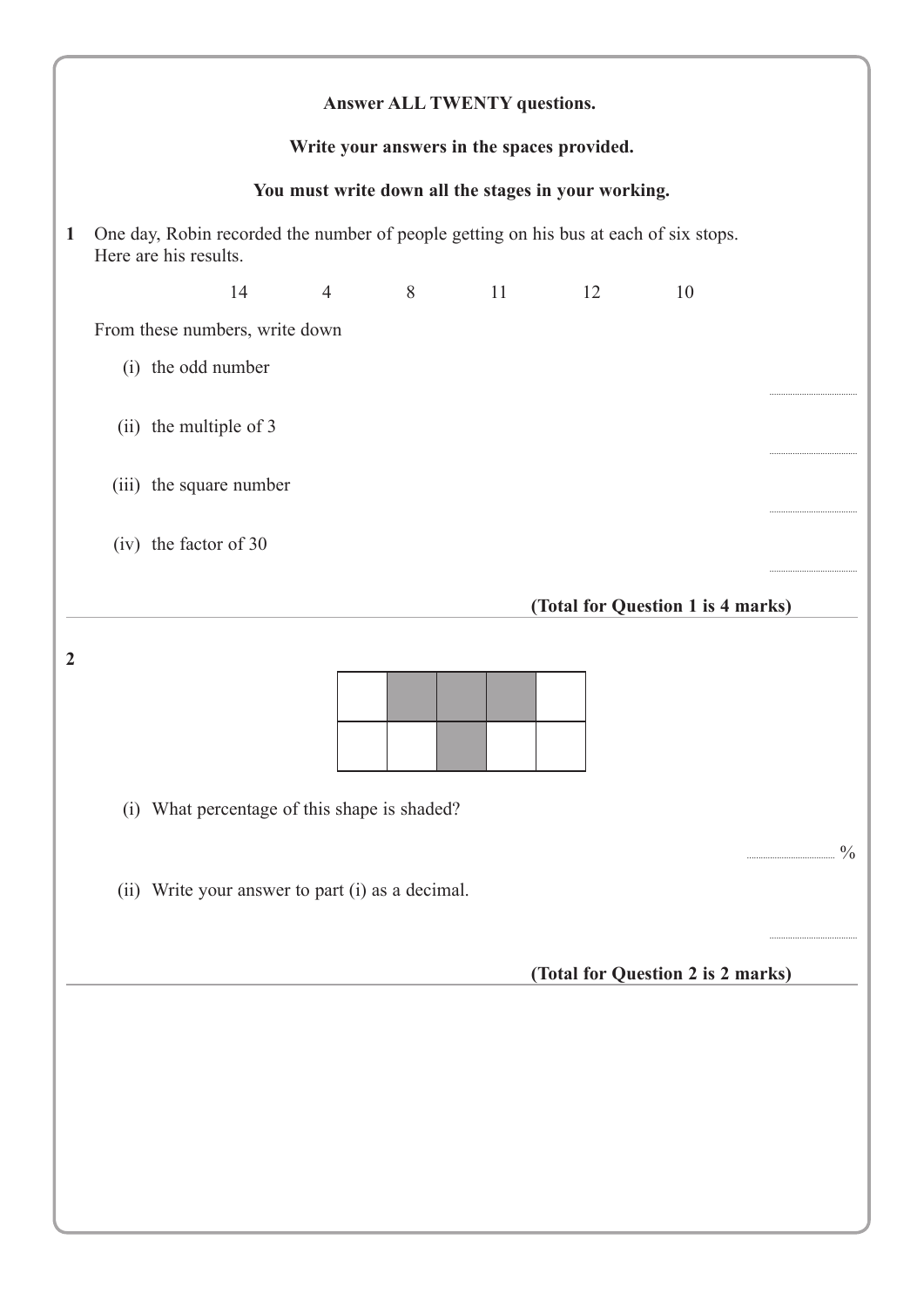|              | Answer ALL TWENTY questions.                                                                                   |
|--------------|----------------------------------------------------------------------------------------------------------------|
|              | Write your answers in the spaces provided.                                                                     |
|              | You must write down all the stages in your working.                                                            |
| $\mathbf{1}$ | One day, Robin recorded the number of people getting on his bus at each of six stops.<br>Here are his results. |
|              | 14<br>$\overline{4}$<br>8<br>11<br>12<br>10                                                                    |
|              | From these numbers, write down                                                                                 |
|              | (i) the odd number                                                                                             |
|              | (ii) the multiple of 3                                                                                         |
|              | (iii) the square number<br>                                                                                    |
|              | (iv) the factor of 30                                                                                          |
|              | (Total for Question 1 is 4 marks)                                                                              |
| 2            | (i) What percentage of this shape is shaded?                                                                   |
|              | $\frac{0}{0}$<br>(ii) Write your answer to part (i) as a decimal.                                              |
|              | (Total for Question 2 is 2 marks)                                                                              |
|              |                                                                                                                |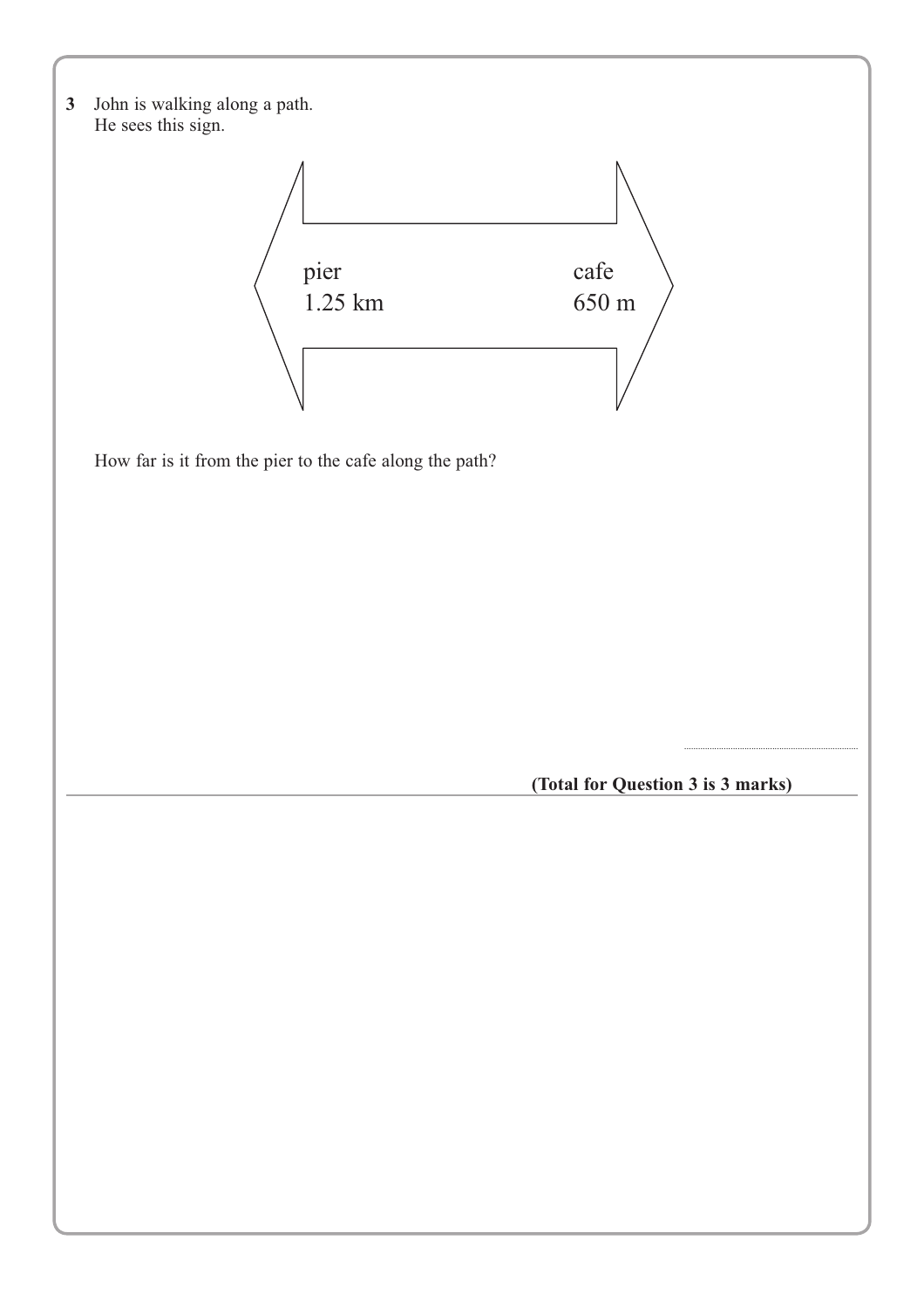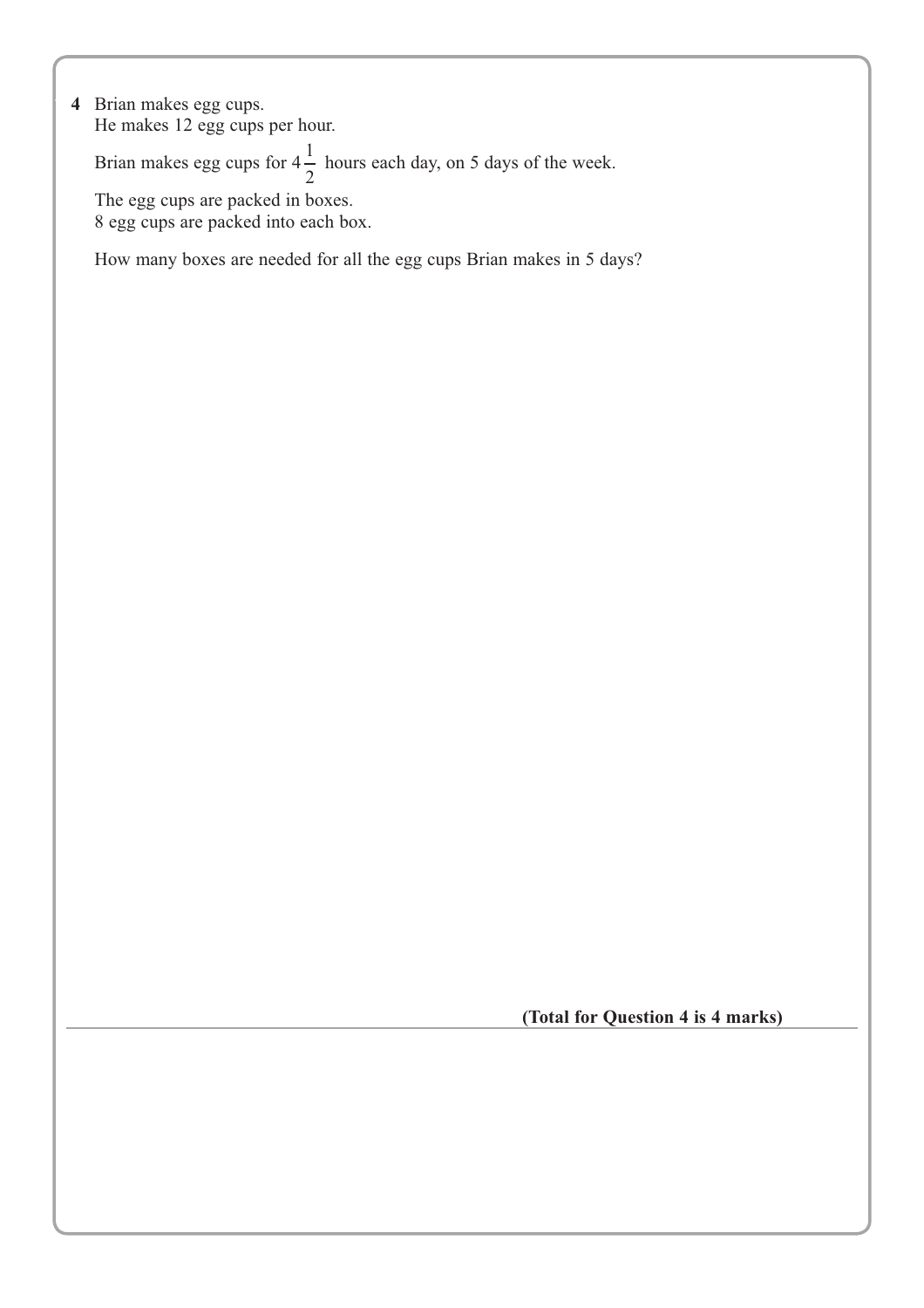**4** Brian makes egg cups. He makes 12 egg cups per hour.

Brian makes egg cups for  $4\frac{1}{2}$  hours each day, on 5 days of the week.

The egg cups are packed in boxes. 8 egg cups are packed into each box.

How many boxes are needed for all the egg cups Brian makes in 5 days?

 **(Total for Question 4 is 4 marks)**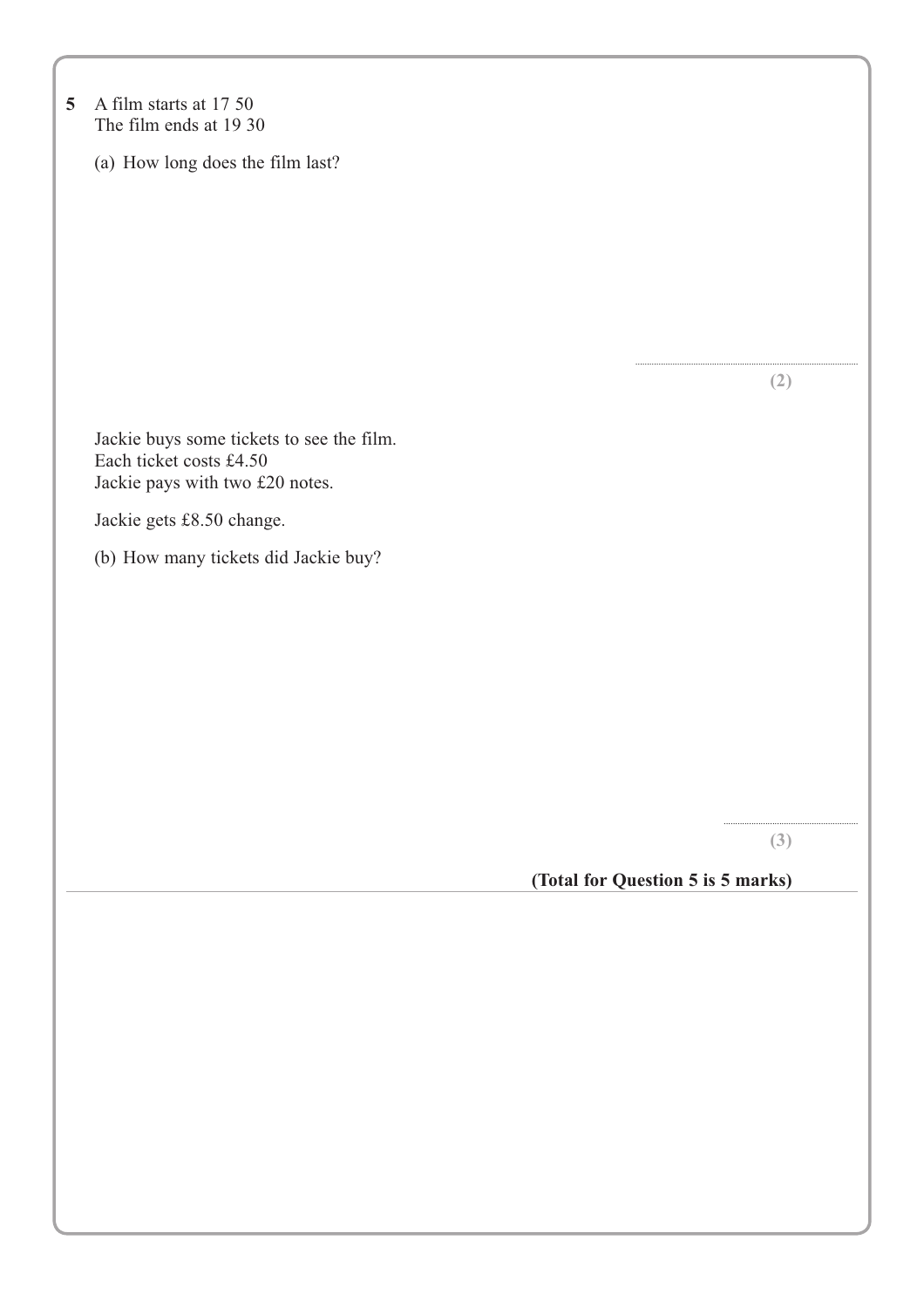| $\overline{5}$ | A film starts at 17 50<br>The film ends at 19 30 |                                   |
|----------------|--------------------------------------------------|-----------------------------------|
|                | (a) How long does the film last?                 |                                   |
|                |                                                  |                                   |
|                |                                                  |                                   |
|                |                                                  |                                   |
|                |                                                  |                                   |
|                |                                                  |                                   |
|                |                                                  |                                   |
|                |                                                  | (2)                               |
|                | Jackie buys some tickets to see the film.        |                                   |
|                | Each ticket costs £4.50                          |                                   |
|                | Jackie pays with two £20 notes.                  |                                   |
|                | Jackie gets £8.50 change.                        |                                   |
|                | (b) How many tickets did Jackie buy?             |                                   |
|                |                                                  |                                   |
|                |                                                  |                                   |
|                |                                                  |                                   |
|                |                                                  |                                   |
|                |                                                  |                                   |
|                |                                                  |                                   |
|                |                                                  |                                   |
|                |                                                  | (3)                               |
|                |                                                  | (Total for Question 5 is 5 marks) |
|                |                                                  |                                   |
|                |                                                  |                                   |
|                |                                                  |                                   |
|                |                                                  |                                   |
|                |                                                  |                                   |
|                |                                                  |                                   |
|                |                                                  |                                   |
|                |                                                  |                                   |
|                |                                                  |                                   |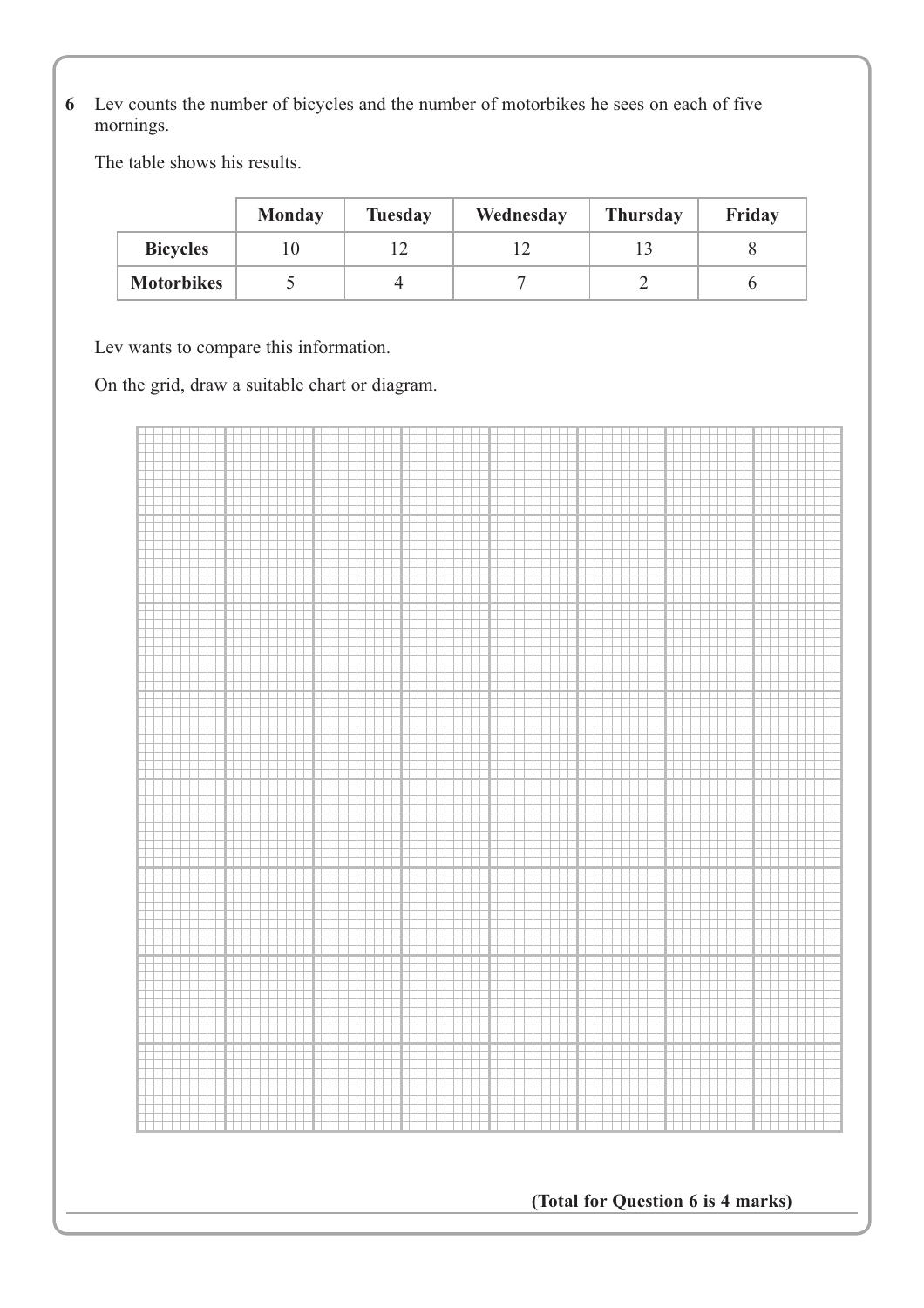**\*6** Lev counts the number of bicycles and the number of motorbikes he sees on each of five mornings.

The table shows his results.

|                   | Monday | <b>Tuesday</b> | Wednesday | <b>Thursday</b> | Friday |
|-------------------|--------|----------------|-----------|-----------------|--------|
| <b>Bicycles</b>   |        |                |           |                 |        |
| <b>Motorbikes</b> |        |                |           |                 |        |

Lev wants to compare this information.

On the grid, draw a suitable chart or diagram.

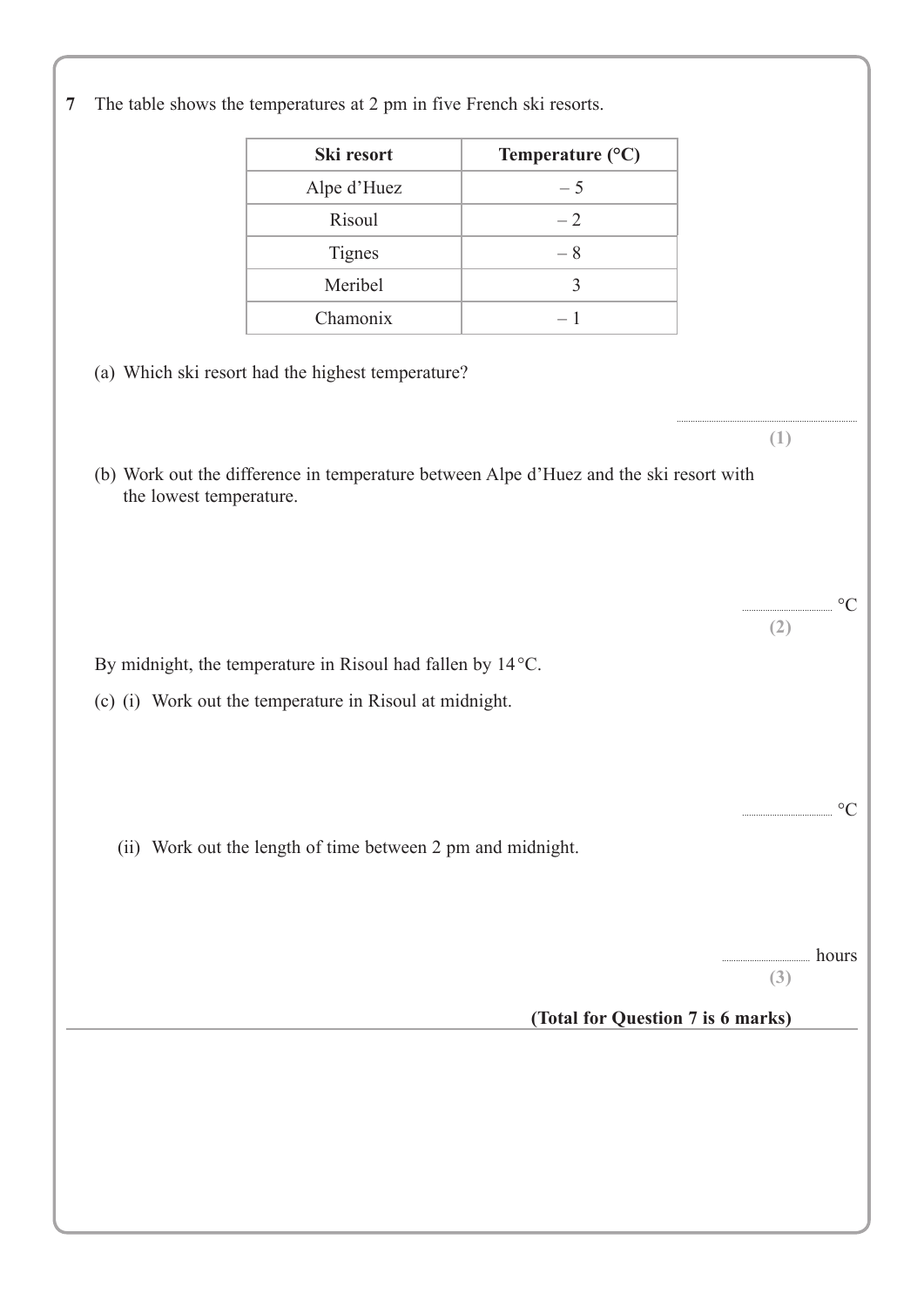**7** The table shows the temperatures at 2 pm in five French ski resorts. **Ski resort Temperature (°C)** Alpe d'Huez  $-5$ Risoul  $-2$ Tignes  $-8$ Meribel 3  $\Gamma$  – 1 (a) Which ski resort had the highest temperature? .............................................................................. **(1)** (b) Work out the difference in temperature between Alpe d'Huez and the ski resort with the lowest temperature.  $\circ$ C **(2)** By midnight, the temperature in Risoul had fallen by 14°C. (c) (i) Work out the temperature in Risoul at midnight.  $\rm ^{\circ}C$ (ii) Work out the length of time between 2 pm and midnight. .. hours **(3) (Total for Question 7 is 6 marks)**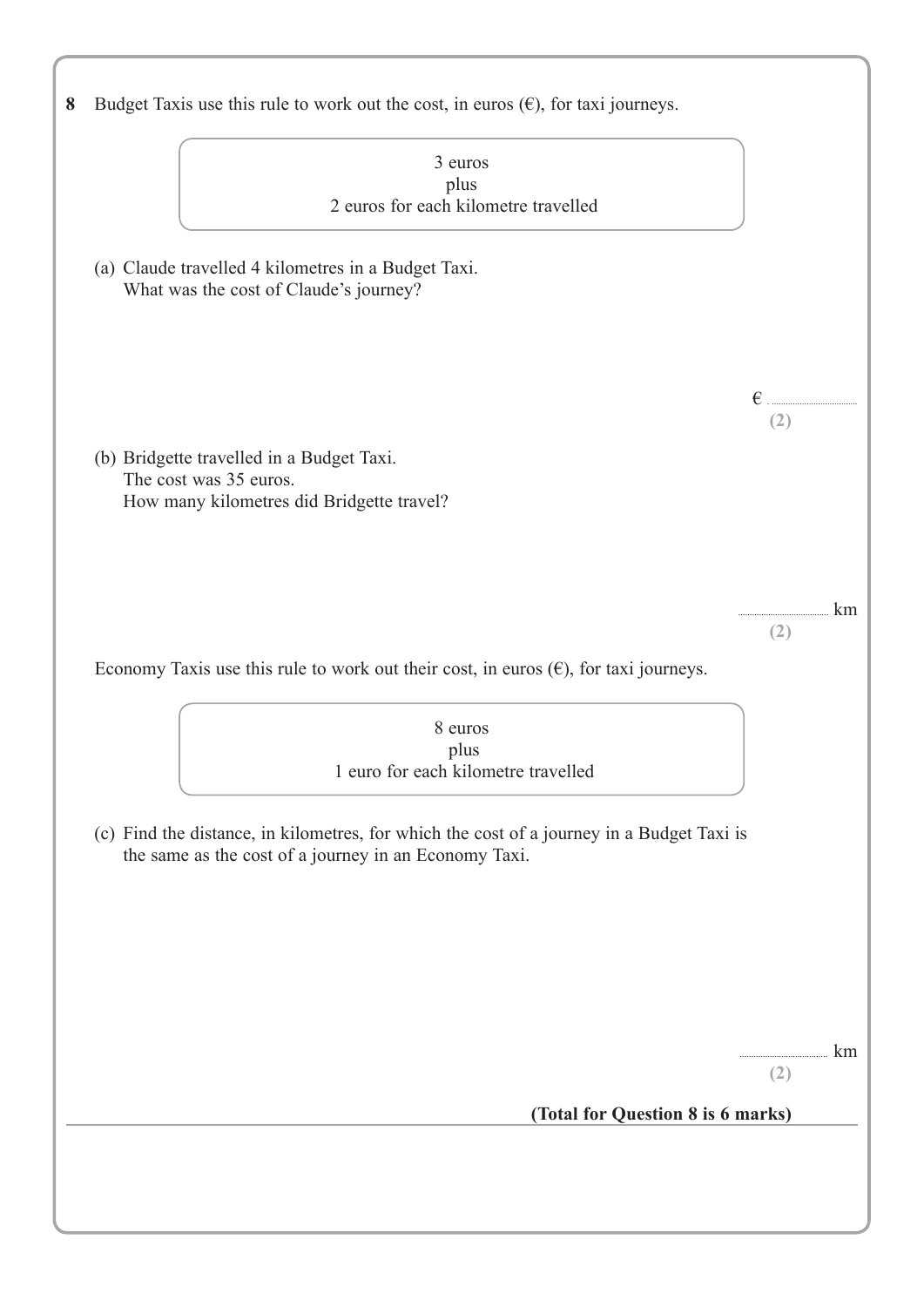| 3 euros                                                                                                                                            |     |
|----------------------------------------------------------------------------------------------------------------------------------------------------|-----|
| plus                                                                                                                                               |     |
| 2 euros for each kilometre travelled                                                                                                               |     |
| (a) Claude travelled 4 kilometres in a Budget Taxi.<br>What was the cost of Claude's journey?                                                      |     |
|                                                                                                                                                    |     |
|                                                                                                                                                    | €   |
|                                                                                                                                                    | (2) |
| (b) Bridgette travelled in a Budget Taxi.                                                                                                          |     |
| The cost was 35 euros.                                                                                                                             |     |
| How many kilometres did Bridgette travel?                                                                                                          |     |
|                                                                                                                                                    |     |
|                                                                                                                                                    |     |
|                                                                                                                                                    |     |
|                                                                                                                                                    | km  |
|                                                                                                                                                    | (2) |
|                                                                                                                                                    |     |
|                                                                                                                                                    |     |
| Economy Taxis use this rule to work out their cost, in euros $(\epsilon)$ , for taxi journeys.                                                     |     |
|                                                                                                                                                    |     |
| 8 euros                                                                                                                                            |     |
| plus<br>1 euro for each kilometre travelled                                                                                                        |     |
|                                                                                                                                                    |     |
| (c) Find the distance, in kilometres, for which the cost of a journey in a Budget Taxi is<br>the same as the cost of a journey in an Economy Taxi. |     |
|                                                                                                                                                    |     |
|                                                                                                                                                    |     |
|                                                                                                                                                    |     |
|                                                                                                                                                    |     |
|                                                                                                                                                    |     |
|                                                                                                                                                    |     |
|                                                                                                                                                    | km  |
|                                                                                                                                                    | (2) |
| (Total for Question 8 is 6 marks)                                                                                                                  |     |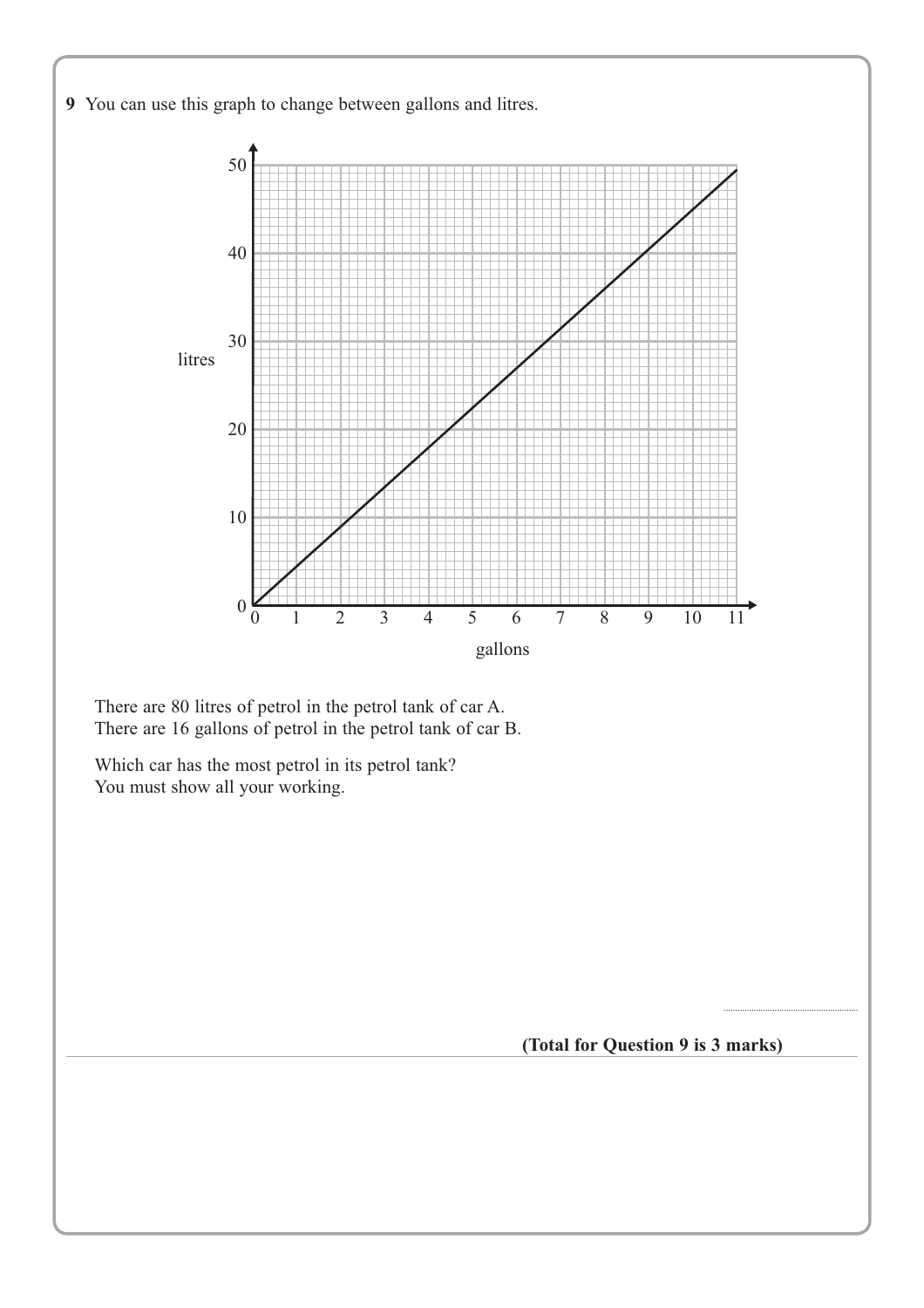

There are 80 litres of petrol in the petrol tank of car A. There are 16 gallons of petrol in the petrol tank of car B.

Which car has the most petrol in its petrol tank? You must show all your working.

**(Total for Question 9 is 3 marks)**

..........................................................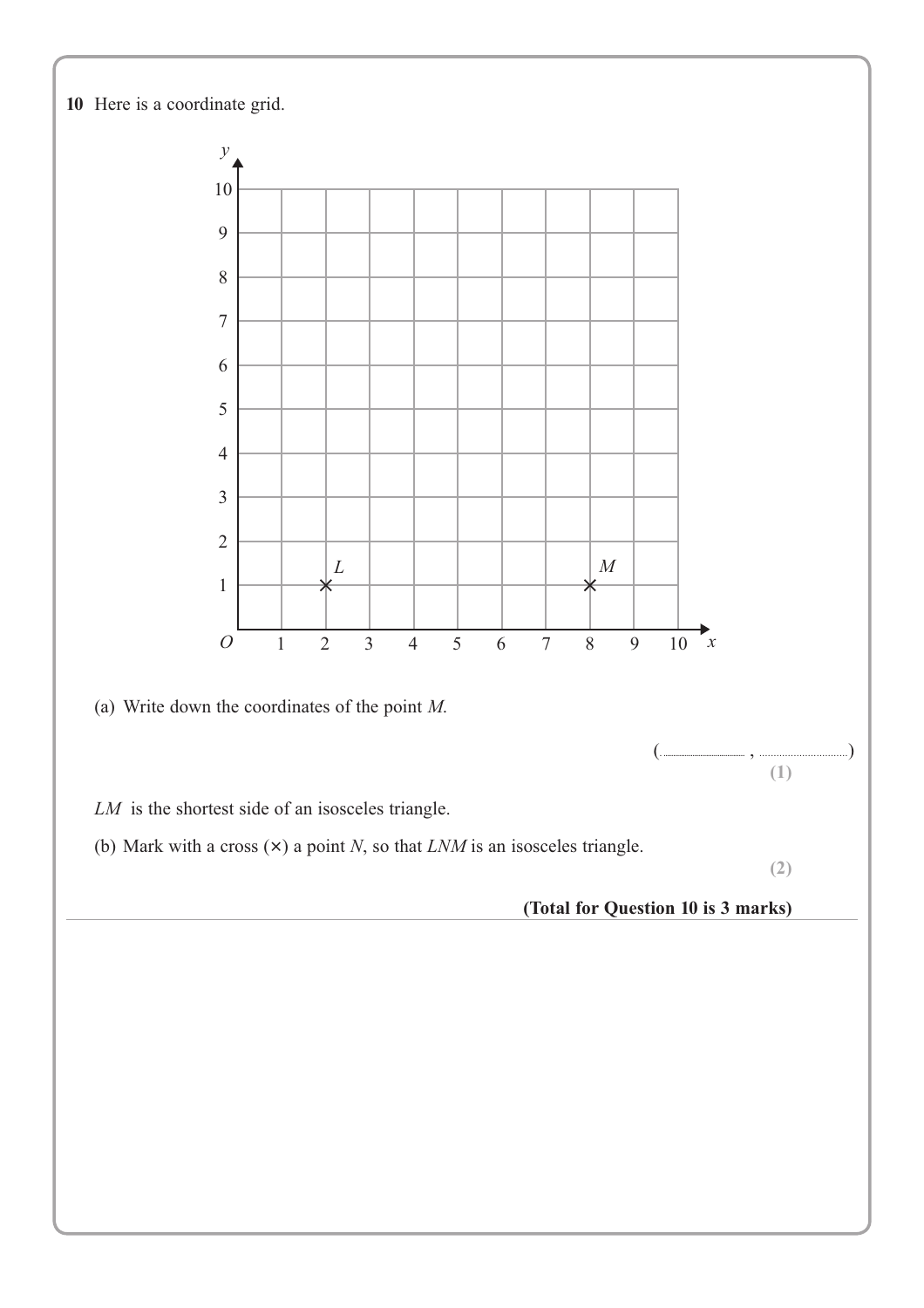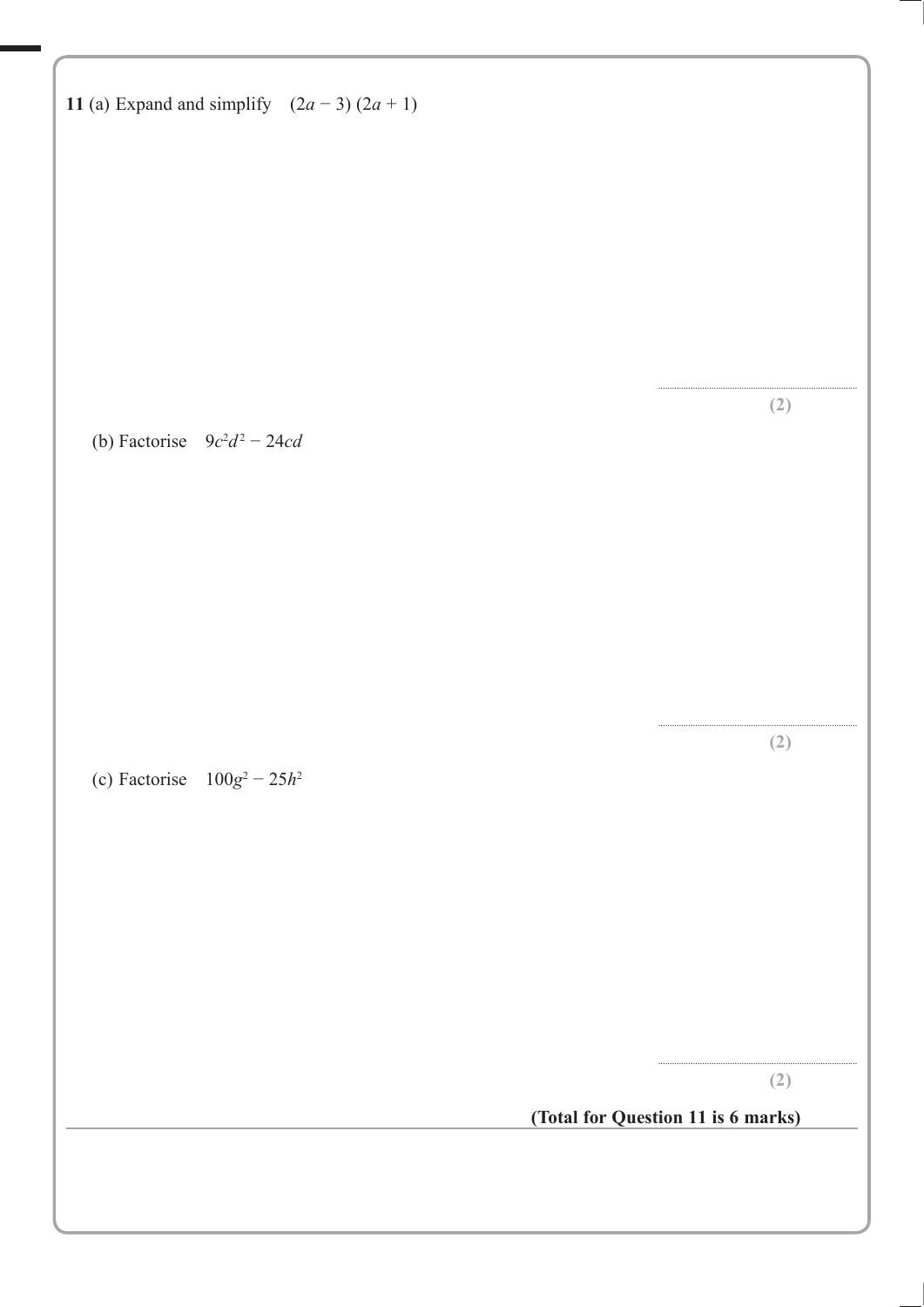| 11 (a) Expand and simplify $(2a-3)(2a+1)$ |                                    |
|-------------------------------------------|------------------------------------|
|                                           |                                    |
|                                           |                                    |
|                                           |                                    |
|                                           | (2)                                |
| (b) Factorise $9c^2d^2 - 24cd$            |                                    |
|                                           |                                    |
|                                           |                                    |
|                                           |                                    |
| (c) Factorise $100g^2 - 25h^2$            | (2)                                |
|                                           |                                    |
|                                           |                                    |
|                                           |                                    |
|                                           | (2)                                |
|                                           | (Total for Question 11 is 6 marks) |
|                                           |                                    |
|                                           |                                    |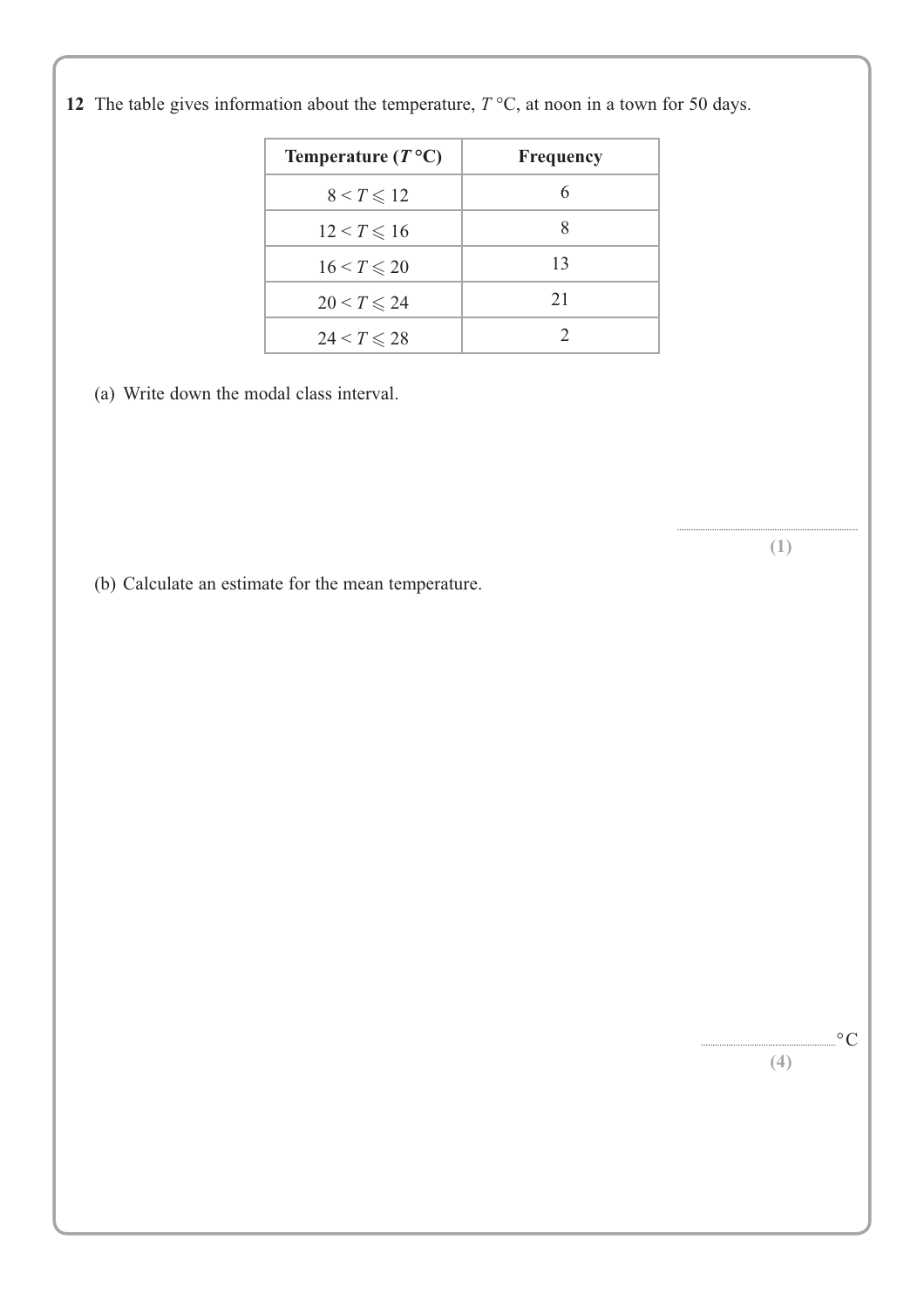| Temperature $(T^{\circ}C)$ | <b>Frequency</b> |
|----------------------------|------------------|
| $8 < T \leqslant 12$       |                  |
| $12 < T \leq 16$           | 8                |
| $16 < T \leqslant 20$      | 13               |
| $20 < T \leqslant 24$      | 21               |
| $24 < T \leqslant 28$      | 2                |
|                            |                  |

**12** The table gives information about the temperature,  $T$  °C, at noon in a town for 50 days.

(a) Write down the modal class interval.

(b) Calculate an estimate for the mean temperature.

.............................................................................. **(1)**

> $\cdot^{\circ}C$ **(4)**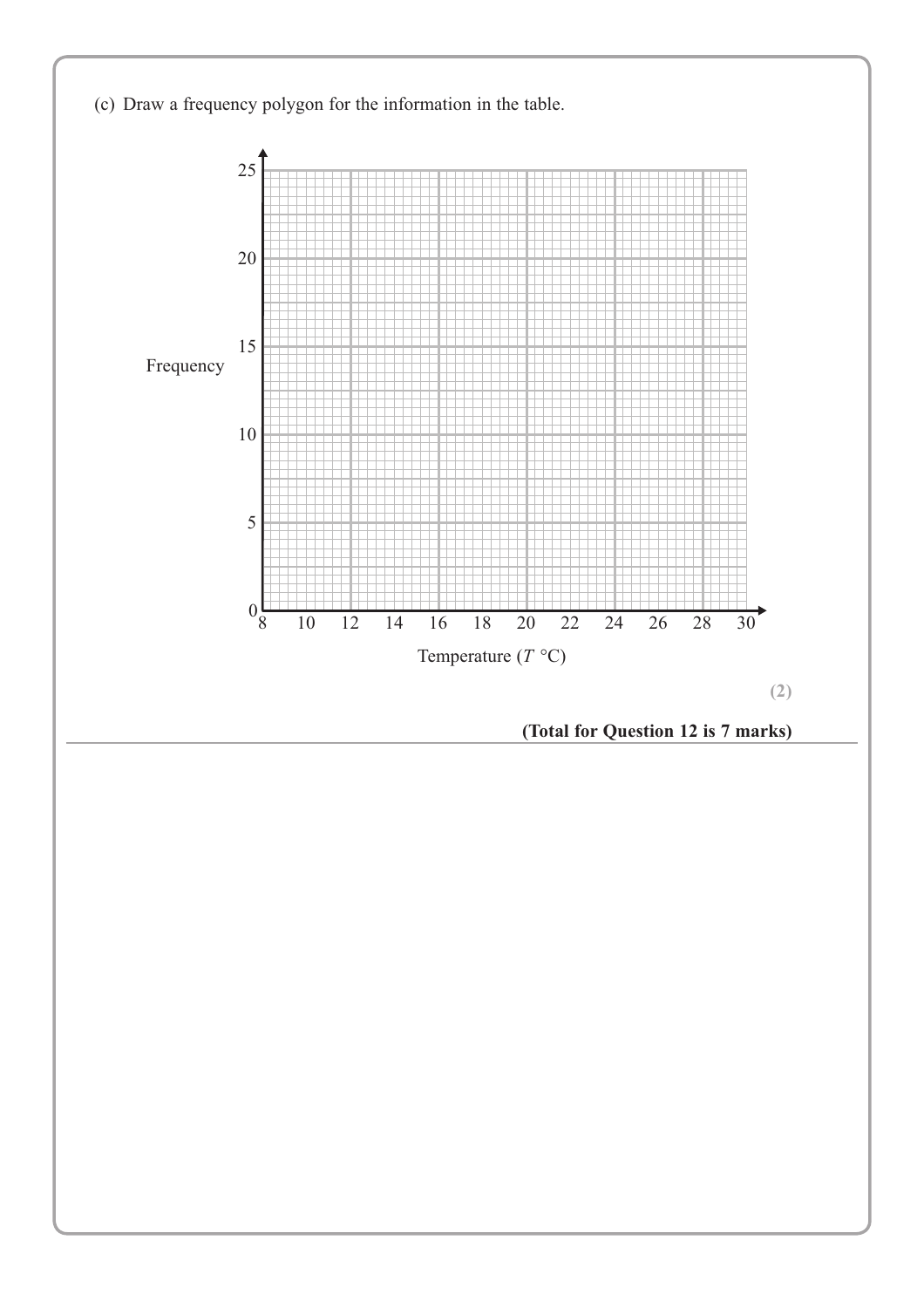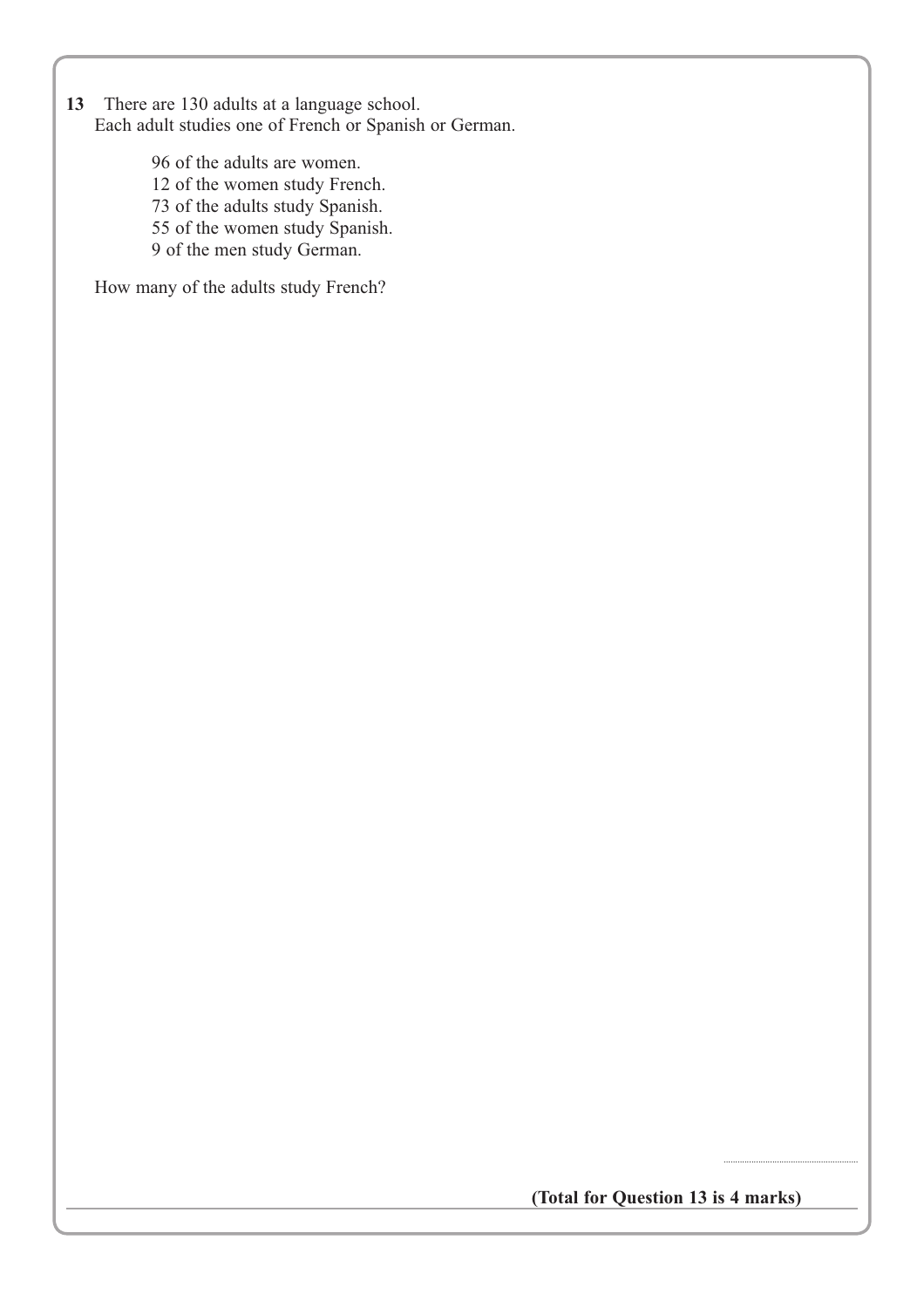**13** There are 130 adults at a language school. Each adult studies one of French or Spanish or German.

> 96 of the adults are women. 12 of the women study French. 73 of the adults study Spanish. 55 of the women study Spanish. 9 of the men study German.

How many of the adults study French?

**(Total for Question 13 is 4 marks)**

..........................................................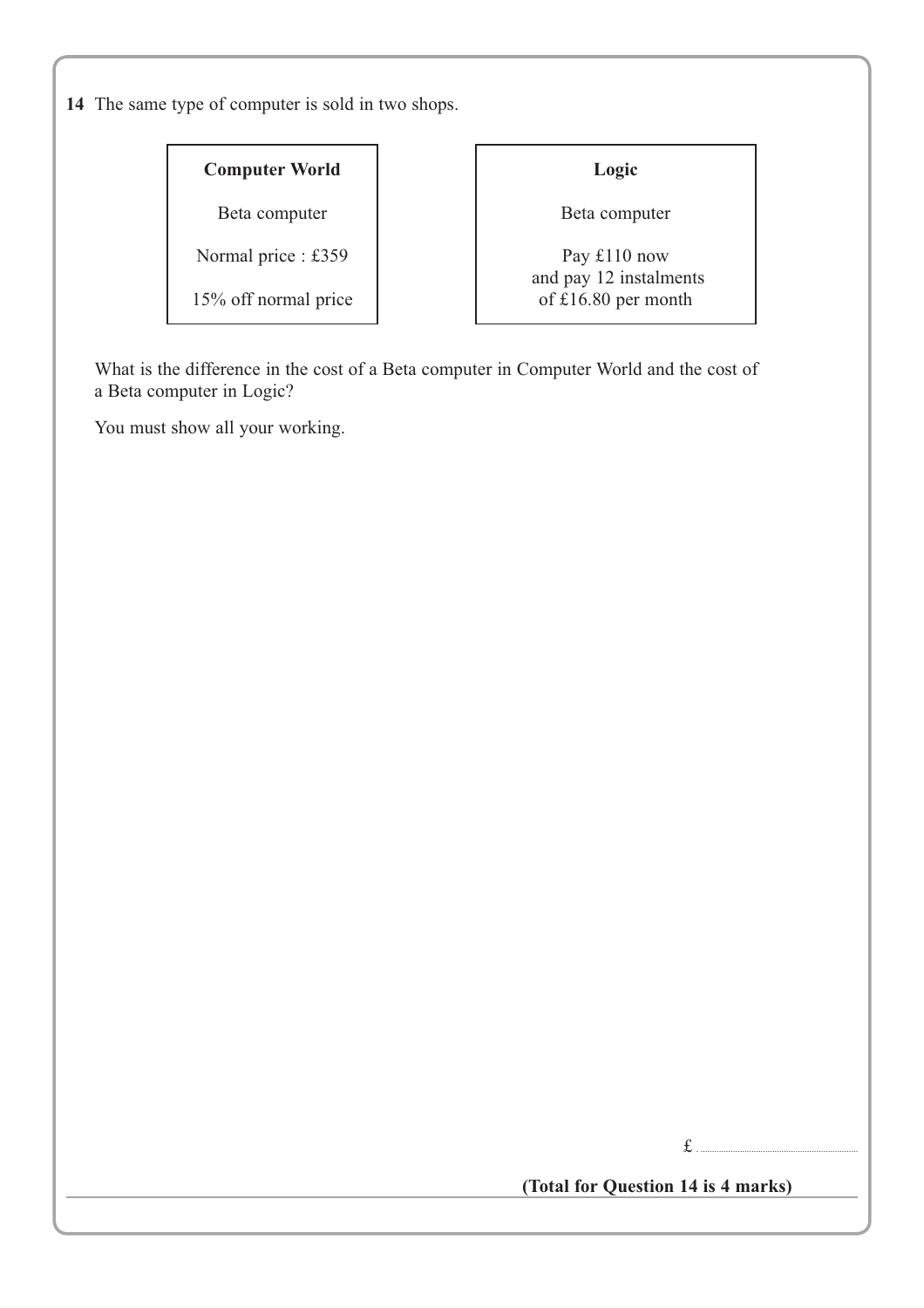**14** The same type of computer is sold in two shops.

#### **Computer World**

Beta computer

Normal price : £359

15% off normal price

### **Logic**

Beta computer

Pay £110 now and pay 12 instalments of £16.80 per month

What is the difference in the cost of a Beta computer in Computer World and the cost of a Beta computer in Logic?

You must show all your working.

 $f_{\perp}$ 

**(Total for Question 14 is 4 marks)**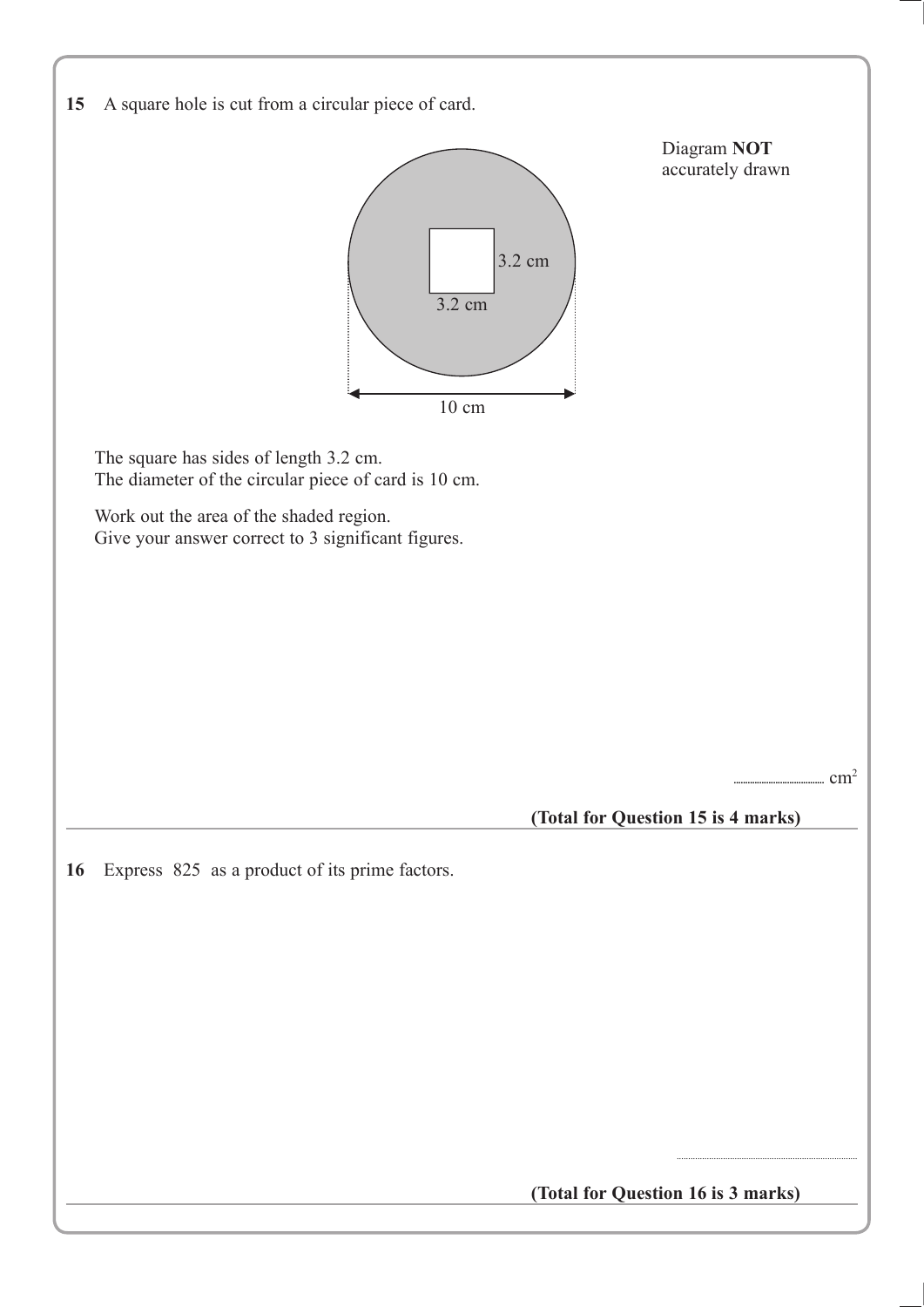| 15 A square hole is cut from a circular piece of card. |
|--------------------------------------------------------|
|--------------------------------------------------------|



**(Total for Question 16 is 3 marks)**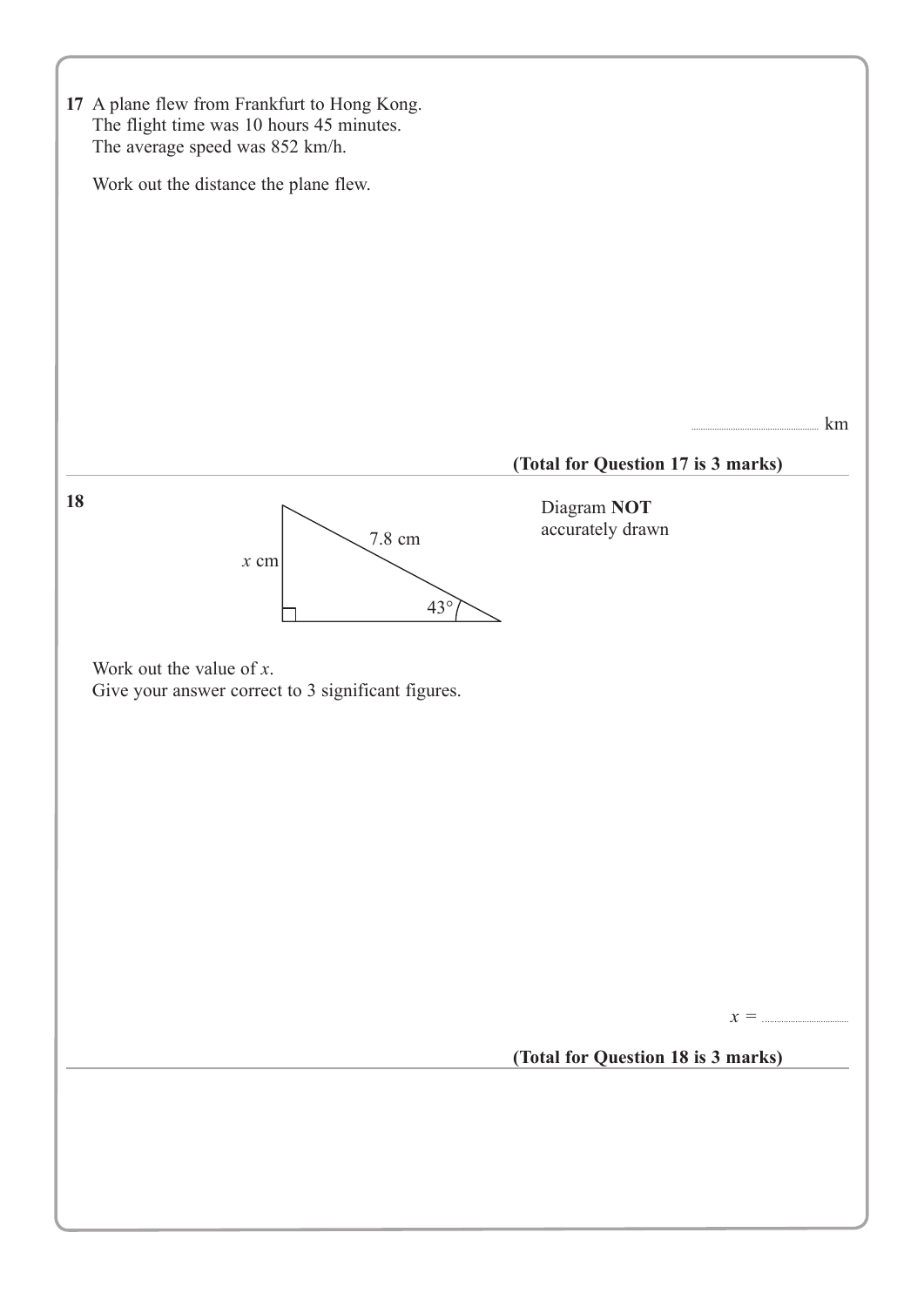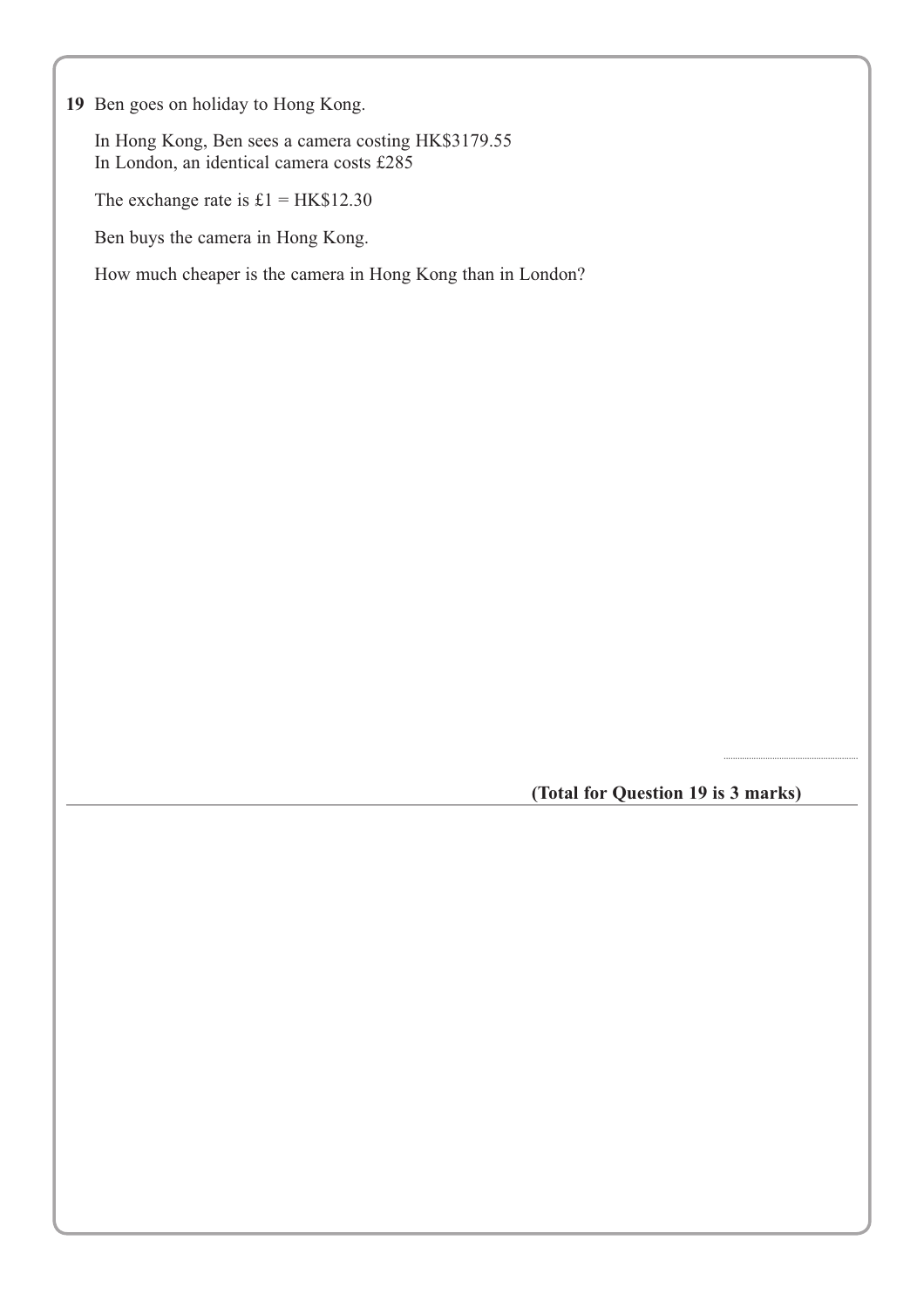**19** Ben goes on holiday to Hong Kong.

In Hong Kong, Ben sees a camera costing HK\$3179.55 In London, an identical camera costs £285

The exchange rate is  $£1 = HK$12.30$ 

Ben buys the camera in Hong Kong.

How much cheaper is the camera in Hong Kong than in London?

**(Total for Question 19 is 3 marks)**

..........................................................